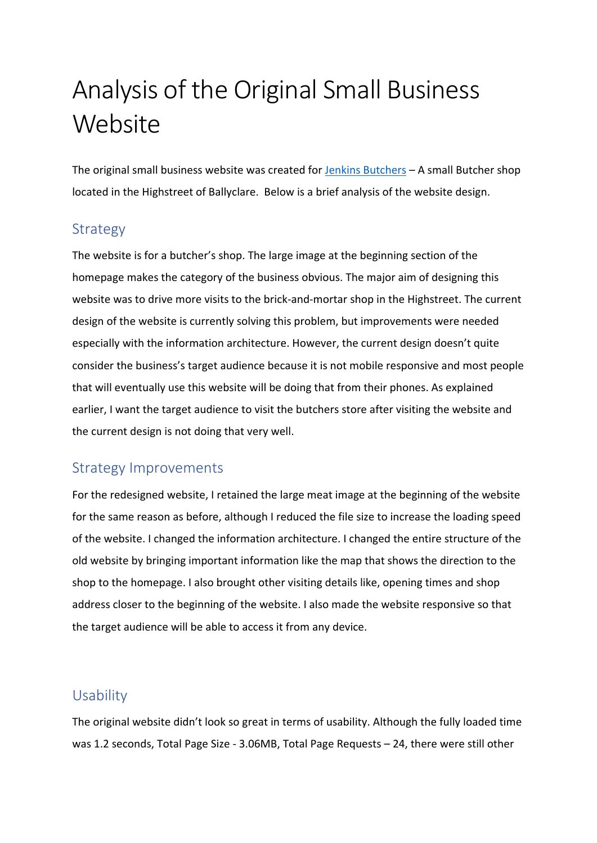# Analysis of the Original Small Business **Website**

The original small business website was created for [Jenkins Butchers](https://techrebellious.com/small_business_website/) – A small Butcher shop located in the Highstreet of Ballyclare. Below is a brief analysis of the website design.

#### Strategy

The website is for a butcher's shop. The large image at the beginning section of the homepage makes the category of the business obvious. The major aim of designing this website was to drive more visits to the brick-and-mortar shop in the Highstreet. The current design of the website is currently solving this problem, but improvements were needed especially with the information architecture. However, the current design doesn't quite consider the business's target audience because it is not mobile responsive and most people that will eventually use this website will be doing that from their phones. As explained earlier, I want the target audience to visit the butchers store after visiting the website and the current design is not doing that very well.

## Strategy Improvements

For the redesigned website, I retained the large meat image at the beginning of the website for the same reason as before, although I reduced the file size to increase the loading speed of the website. I changed the information architecture. I changed the entire structure of the old website by bringing important information like the map that shows the direction to the shop to the homepage. I also brought other visiting details like, opening times and shop address closer to the beginning of the website. I also made the website responsive so that the target audience will be able to access it from any device.

#### Usability

The original website didn't look so great in terms of usability. Although the fully loaded time was 1.2 seconds, Total Page Size - 3.06MB, Total Page Requests – 24, there were still other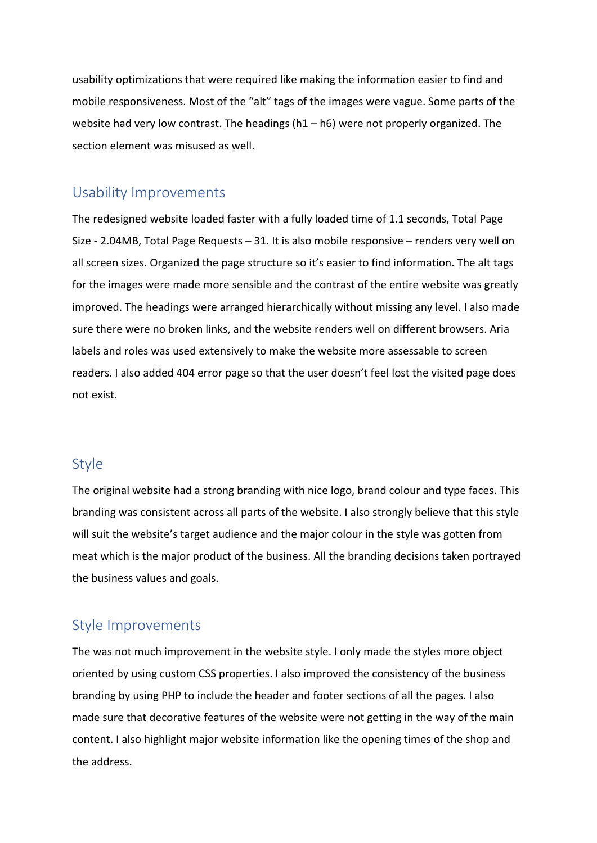usability optimizations that were required like making the information easier to find and mobile responsiveness. Most of the "alt" tags of the images were vague. Some parts of the website had very low contrast. The headings (h1 – h6) were not properly organized. The section element was misused as well.

#### Usability Improvements

The redesigned website loaded faster with a fully loaded time of 1.1 seconds, Total Page Size - 2.04MB, Total Page Requests – 31. It is also mobile responsive – renders very well on all screen sizes. Organized the page structure so it's easier to find information. The alt tags for the images were made more sensible and the contrast of the entire website was greatly improved. The headings were arranged hierarchically without missing any level. I also made sure there were no broken links, and the website renders well on different browsers. Aria labels and roles was used extensively to make the website more assessable to screen readers. I also added 404 error page so that the user doesn't feel lost the visited page does not exist.

#### **Style**

The original website had a strong branding with nice logo, brand colour and type faces. This branding was consistent across all parts of the website. I also strongly believe that this style will suit the website's target audience and the major colour in the style was gotten from meat which is the major product of the business. All the branding decisions taken portrayed the business values and goals.

#### Style Improvements

The was not much improvement in the website style. I only made the styles more object oriented by using custom CSS properties. I also improved the consistency of the business branding by using PHP to include the header and footer sections of all the pages. I also made sure that decorative features of the website were not getting in the way of the main content. I also highlight major website information like the opening times of the shop and the address.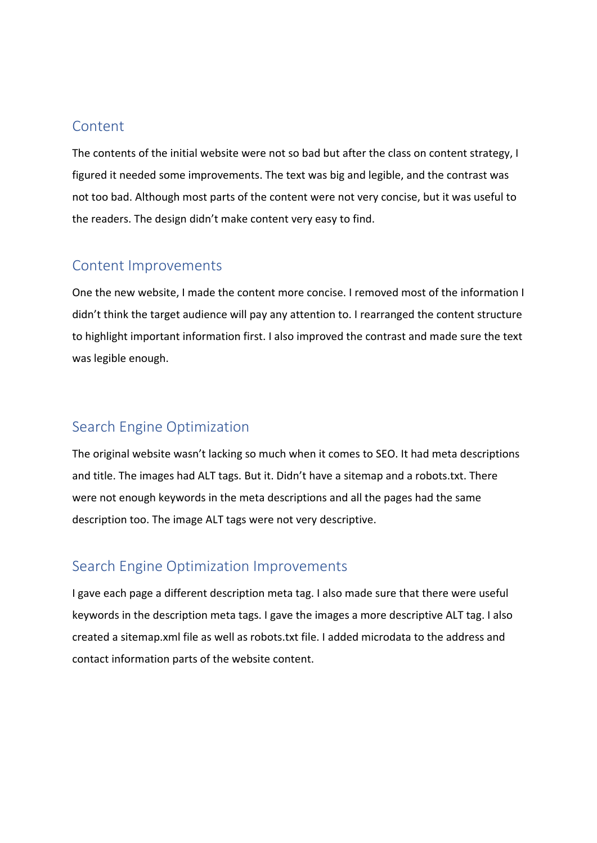#### Content

The contents of the initial website were not so bad but after the class on content strategy, I figured it needed some improvements. The text was big and legible, and the contrast was not too bad. Although most parts of the content were not very concise, but it was useful to the readers. The design didn't make content very easy to find.

#### Content Improvements

One the new website, I made the content more concise. I removed most of the information I didn't think the target audience will pay any attention to. I rearranged the content structure to highlight important information first. I also improved the contrast and made sure the text was legible enough.

## Search Engine Optimization

The original website wasn't lacking so much when it comes to SEO. It had meta descriptions and title. The images had ALT tags. But it. Didn't have a sitemap and a robots.txt. There were not enough keywords in the meta descriptions and all the pages had the same description too. The image ALT tags were not very descriptive.

## Search Engine Optimization Improvements

I gave each page a different description meta tag. I also made sure that there were useful keywords in the description meta tags. I gave the images a more descriptive ALT tag. I also created a sitemap.xml file as well as robots.txt file. I added microdata to the address and contact information parts of the website content.